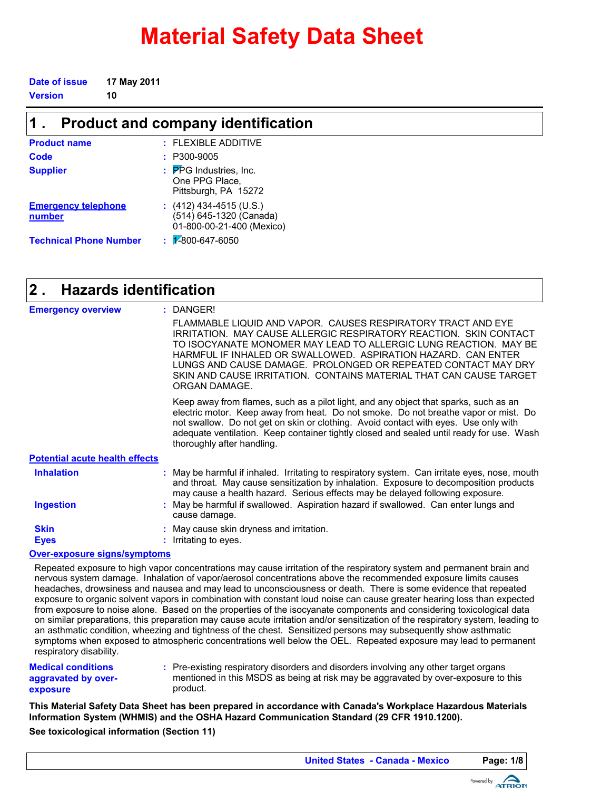# **Material Safety Data Sheet**

| Date of issue | 17 May 2011 |
|---------------|-------------|
| Version       | 10          |

| <b>Product and company identification</b> |                                                                                 |  |  |
|-------------------------------------------|---------------------------------------------------------------------------------|--|--|
| <b>Product name</b>                       | $:$ FI FXIBI F ADDITIVE                                                         |  |  |
| Code                                      | P300-9005                                                                       |  |  |
| <b>Supplier</b>                           | : PPG Industries, Inc.<br>One PPG Place,<br>Pittsburgh, PA 15272                |  |  |
| <b>Emergency telephone</b><br>number      | $(412)$ 434-4515 (U.S.)<br>(514) 645-1320 (Canada)<br>01-800-00-21-400 (Mexico) |  |  |
| <b>Technical Phone Number</b>             | $\frac{1}{2}$ 2800-647-6050                                                     |  |  |

#### **Hazards identification 2 .**

| <b>Emergency overview</b>             | : DANGER!                                                                                                                                                                                                                                                                                                                                                                                                                      |
|---------------------------------------|--------------------------------------------------------------------------------------------------------------------------------------------------------------------------------------------------------------------------------------------------------------------------------------------------------------------------------------------------------------------------------------------------------------------------------|
|                                       | FLAMMABLE LIQUID AND VAPOR. CAUSES RESPIRATORY TRACT AND EYE<br>IRRITATION. MAY CAUSE ALLERGIC RESPIRATORY REACTION. SKIN CONTACT<br>TO ISOCYANATE MONOMER MAY LEAD TO ALLERGIC LUNG REACTION. MAY BE<br>HARMFUL IF INHALED OR SWALLOWED. ASPIRATION HAZARD. CAN ENTER<br>LUNGS AND CAUSE DAMAGE. PROLONGED OR REPEATED CONTACT MAY DRY<br>SKIN AND CAUSE IRRITATION. CONTAINS MATERIAL THAT CAN CAUSE TARGET<br>ORGAN DAMAGE. |
|                                       | Keep away from flames, such as a pilot light, and any object that sparks, such as an<br>electric motor. Keep away from heat. Do not smoke. Do not breathe vapor or mist. Do<br>not swallow. Do not get on skin or clothing. Avoid contact with eyes. Use only with<br>adequate ventilation. Keep container tightly closed and sealed until ready for use. Wash<br>thoroughly after handling.                                   |
| <b>Potential acute health effects</b> |                                                                                                                                                                                                                                                                                                                                                                                                                                |
| <b>Inhalation</b>                     | : May be harmful if inhaled. Irritating to respiratory system. Can irritate eyes, nose, mouth<br>and throat. May cause sensitization by inhalation. Exposure to decomposition products<br>may cause a health hazard. Serious effects may be delayed following exposure.                                                                                                                                                        |
| Ingestion                             | May be harmful if swallowed. Aspiration hazard if swallowed. Can enter lungs and<br>cause damage.                                                                                                                                                                                                                                                                                                                              |
| <b>Skin</b>                           | May cause skin dryness and irritation.                                                                                                                                                                                                                                                                                                                                                                                         |
| <b>Eyes</b>                           | Irritating to eyes.                                                                                                                                                                                                                                                                                                                                                                                                            |
| <b>Over-exposure signs/symptoms</b>   |                                                                                                                                                                                                                                                                                                                                                                                                                                |

Repeated exposure to high vapor concentrations may cause irritation of the respiratory system and permanent brain and nervous system damage. Inhalation of vapor/aerosol concentrations above the recommended exposure limits causes headaches, drowsiness and nausea and may lead to unconsciousness or death. There is some evidence that repeated exposure to organic solvent vapors in combination with constant loud noise can cause greater hearing loss than expected from exposure to noise alone. Based on the properties of the isocyanate components and considering toxicological data on similar preparations, this preparation may cause acute irritation and/or sensitization of the respiratory system, leading to an asthmatic condition, wheezing and tightness of the chest. Sensitized persons may subsequently show asthmatic symptoms when exposed to atmospheric concentrations well below the OEL. Repeated exposure may lead to permanent respiratory disability.

**Medical conditions aggravated by overexposure**

Pre-existing respiratory disorders and disorders involving any other target organs **:** mentioned in this MSDS as being at risk may be aggravated by over-exposure to this product.

**This Material Safety Data Sheet has been prepared in accordance with Canada's Workplace Hazardous Materials Information System (WHMIS) and the OSHA Hazard Communication Standard (29 CFR 1910.1200).**

**See toxicological information (Section 11)**

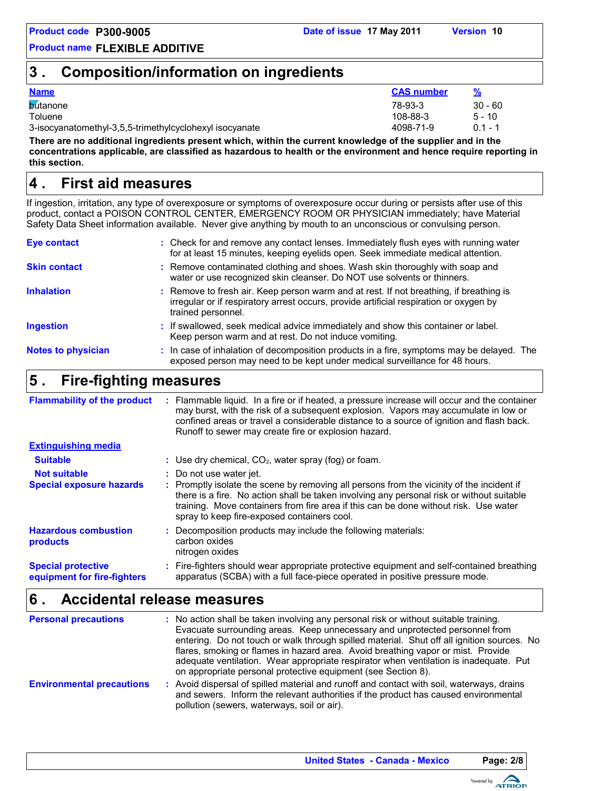## **3 . Composition/information on ingredients**

#### **Name CAS number %**

| <b>b</b> útanone                                        | 78-93-3   | $30 - 60$ |
|---------------------------------------------------------|-----------|-----------|
| Toluene                                                 | 108-88-3  | $5 - 10$  |
| 3-isocyanatomethyl-3,5,5-trimethylcyclohexyl isocyanate | 4098-71-9 | በ 1 - 1   |

**There are no additional ingredients present which, within the current knowledge of the supplier and in the concentrations applicable, are classified as hazardous to health or the environment and hence require reporting in this section.**

## **First aid measures 4 .**

If ingestion, irritation, any type of overexposure or symptoms of overexposure occur during or persists after use of this product, contact a POISON CONTROL CENTER, EMERGENCY ROOM OR PHYSICIAN immediately; have Material Safety Data Sheet information available. Never give anything by mouth to an unconscious or convulsing person.

| Eye contact               | : Check for and remove any contact lenses. Immediately flush eyes with running water<br>for at least 15 minutes, keeping eyelids open. Seek immediate medical attention.                               |
|---------------------------|--------------------------------------------------------------------------------------------------------------------------------------------------------------------------------------------------------|
| <b>Skin contact</b>       | : Remove contaminated clothing and shoes. Wash skin thoroughly with soap and<br>water or use recognized skin cleanser. Do NOT use solvents or thinners.                                                |
| <b>Inhalation</b>         | : Remove to fresh air. Keep person warm and at rest. If not breathing, if breathing is<br>irregular or if respiratory arrest occurs, provide artificial respiration or oxygen by<br>trained personnel. |
| <b>Ingestion</b>          | : If swallowed, seek medical advice immediately and show this container or label.<br>Keep person warm and at rest. Do not induce vomiting.                                                             |
| <b>Notes to physician</b> | : In case of inhalation of decomposition products in a fire, symptoms may be delayed. The<br>exposed person may need to be kept under medical surveillance for 48 hours.                               |

## **Fire-fighting measures 5 .**

| <b>Flammability of the product</b>                       | Flammable liquid. In a fire or if heated, a pressure increase will occur and the container<br>may burst, with the risk of a subsequent explosion. Vapors may accumulate in low or<br>confined areas or travel a considerable distance to a source of ignition and flash back.<br>Runoff to sewer may create fire or explosion hazard. |
|----------------------------------------------------------|---------------------------------------------------------------------------------------------------------------------------------------------------------------------------------------------------------------------------------------------------------------------------------------------------------------------------------------|
| <b>Extinguishing media</b>                               |                                                                                                                                                                                                                                                                                                                                       |
| <b>Suitable</b>                                          | : Use dry chemical, $CO2$ , water spray (fog) or foam.                                                                                                                                                                                                                                                                                |
| <b>Not suitable</b>                                      | : Do not use water jet.                                                                                                                                                                                                                                                                                                               |
| <b>Special exposure hazards</b>                          | : Promptly isolate the scene by removing all persons from the vicinity of the incident if<br>there is a fire. No action shall be taken involving any personal risk or without suitable<br>training. Move containers from fire area if this can be done without risk. Use water<br>spray to keep fire-exposed containers cool.         |
| <b>Hazardous combustion</b><br>products                  | : Decomposition products may include the following materials:<br>carbon oxides<br>nitrogen oxides                                                                                                                                                                                                                                     |
| <b>Special protective</b><br>equipment for fire-fighters | : Fire-fighters should wear appropriate protective equipment and self-contained breathing<br>apparatus (SCBA) with a full face-piece operated in positive pressure mode.                                                                                                                                                              |

## **Accidental release measures 6 .**

| <b>Personal precautions</b>      | : No action shall be taken involving any personal risk or without suitable training.<br>Evacuate surrounding areas. Keep unnecessary and unprotected personnel from<br>entering. Do not touch or walk through spilled material. Shut off all ignition sources. No<br>flares, smoking or flames in hazard area. Avoid breathing vapor or mist. Provide<br>adequate ventilation. Wear appropriate respirator when ventilation is inadequate. Put<br>on appropriate personal protective equipment (see Section 8). |
|----------------------------------|-----------------------------------------------------------------------------------------------------------------------------------------------------------------------------------------------------------------------------------------------------------------------------------------------------------------------------------------------------------------------------------------------------------------------------------------------------------------------------------------------------------------|
| <b>Environmental precautions</b> | : Avoid dispersal of spilled material and runoff and contact with soil, waterways, drains<br>and sewers. Inform the relevant authorities if the product has caused environmental<br>pollution (sewers, waterways, soil or air).                                                                                                                                                                                                                                                                                 |

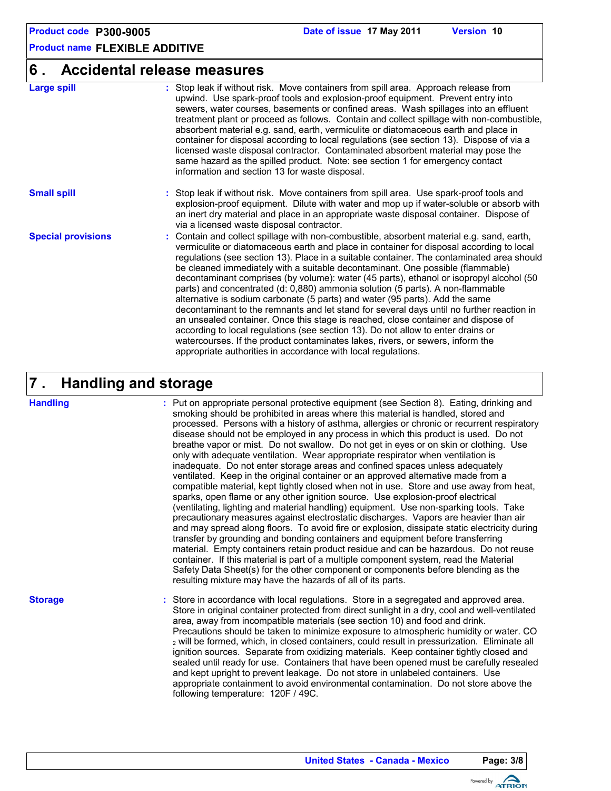### **6 . Accidental release measures**

| <b>Large spill</b>        | : Stop leak if without risk. Move containers from spill area. Approach release from<br>upwind. Use spark-proof tools and explosion-proof equipment. Prevent entry into<br>sewers, water courses, basements or confined areas. Wash spillages into an effluent<br>treatment plant or proceed as follows. Contain and collect spillage with non-combustible,<br>absorbent material e.g. sand, earth, vermiculite or diatomaceous earth and place in<br>container for disposal according to local regulations (see section 13). Dispose of via a<br>licensed waste disposal contractor. Contaminated absorbent material may pose the<br>same hazard as the spilled product. Note: see section 1 for emergency contact<br>information and section 13 for waste disposal.                                                                                                                                                                                                                                                                                       |
|---------------------------|------------------------------------------------------------------------------------------------------------------------------------------------------------------------------------------------------------------------------------------------------------------------------------------------------------------------------------------------------------------------------------------------------------------------------------------------------------------------------------------------------------------------------------------------------------------------------------------------------------------------------------------------------------------------------------------------------------------------------------------------------------------------------------------------------------------------------------------------------------------------------------------------------------------------------------------------------------------------------------------------------------------------------------------------------------|
| <b>Small spill</b>        | : Stop leak if without risk. Move containers from spill area. Use spark-proof tools and<br>explosion-proof equipment. Dilute with water and mop up if water-soluble or absorb with<br>an inert dry material and place in an appropriate waste disposal container. Dispose of<br>via a licensed waste disposal contractor.                                                                                                                                                                                                                                                                                                                                                                                                                                                                                                                                                                                                                                                                                                                                  |
| <b>Special provisions</b> | : Contain and collect spillage with non-combustible, absorbent material e.g. sand, earth,<br>vermiculite or diatomaceous earth and place in container for disposal according to local<br>regulations (see section 13). Place in a suitable container. The contaminated area should<br>be cleaned immediately with a suitable decontaminant. One possible (flammable)<br>decontaminant comprises (by volume): water (45 parts), ethanol or isopropyl alcohol (50<br>parts) and concentrated (d: 0,880) ammonia solution (5 parts). A non-flammable<br>alternative is sodium carbonate (5 parts) and water (95 parts). Add the same<br>decontaminant to the remnants and let stand for several days until no further reaction in<br>an unsealed container. Once this stage is reached, close container and dispose of<br>according to local regulations (see section 13). Do not allow to enter drains or<br>watercourses. If the product contaminates lakes, rivers, or sewers, inform the<br>appropriate authorities in accordance with local regulations. |

#### **Handling and storage 7 .**

#### **Handling**

Put on appropriate personal protective equipment (see Section 8). Eating, drinking and **:** smoking should be prohibited in areas where this material is handled, stored and processed. Persons with a history of asthma, allergies or chronic or recurrent respiratory disease should not be employed in any process in which this product is used. Do not breathe vapor or mist. Do not swallow. Do not get in eyes or on skin or clothing. Use only with adequate ventilation. Wear appropriate respirator when ventilation is inadequate. Do not enter storage areas and confined spaces unless adequately ventilated. Keep in the original container or an approved alternative made from a compatible material, kept tightly closed when not in use. Store and use away from heat, sparks, open flame or any other ignition source. Use explosion-proof electrical (ventilating, lighting and material handling) equipment. Use non-sparking tools. Take precautionary measures against electrostatic discharges. Vapors are heavier than air and may spread along floors. To avoid fire or explosion, dissipate static electricity during transfer by grounding and bonding containers and equipment before transferring material. Empty containers retain product residue and can be hazardous. Do not reuse container. If this material is part of a multiple component system, read the Material Safety Data Sheet(s) for the other component or components before blending as the resulting mixture may have the hazards of all of its parts.

**Storage**

Store in accordance with local regulations. Store in a segregated and approved area. **:** Store in original container protected from direct sunlight in a dry, cool and well-ventilated area, away from incompatible materials (see section 10) and food and drink. Precautions should be taken to minimize exposure to atmospheric humidity or water. CO <sup>2</sup> will be formed, which, in closed containers, could result in pressurization. Eliminate all ignition sources. Separate from oxidizing materials. Keep container tightly closed and sealed until ready for use. Containers that have been opened must be carefully resealed and kept upright to prevent leakage. Do not store in unlabeled containers. Use appropriate containment to avoid environmental contamination. Do not store above the following temperature: 120F / 49C.

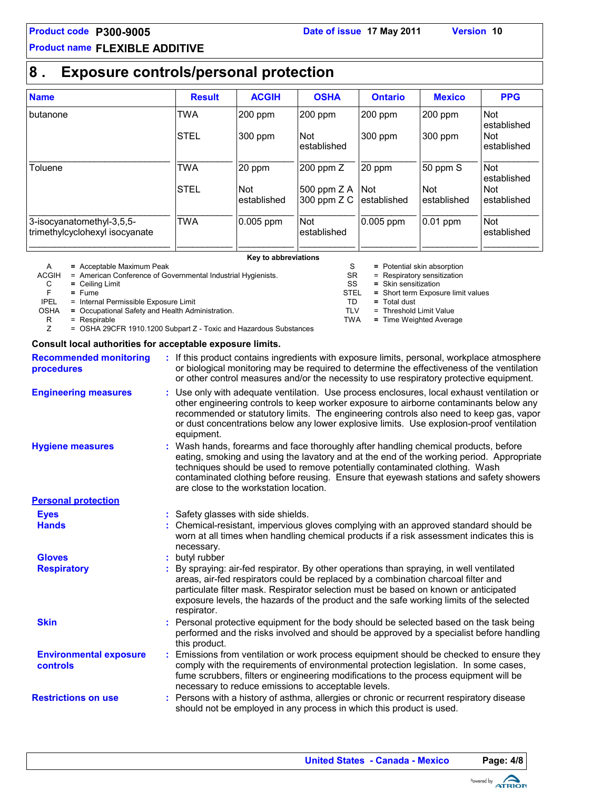## **Product code P300-9005 Date of issue 17 May 2011 Version 10**

## **Product name FLEXIBLE ADDITIVE**

## **8 . Exposure controls/personal protection**

| <b>Name</b>                                                 | <b>Result</b> | <b>ACGIH</b>               | <b>OSHA</b>                  | <b>Ontario</b>       | <b>Mexico</b>             | <b>PPG</b>                |
|-------------------------------------------------------------|---------------|----------------------------|------------------------------|----------------------|---------------------------|---------------------------|
| butanone                                                    | <b>TWA</b>    | 200 ppm                    | $200$ ppm                    | $200$ ppm            | 200 ppm                   | <b>Not</b><br>established |
|                                                             | <b>STEL</b>   | 300 ppm                    | <b>Not</b><br>established    | 300 ppm              | 300 ppm                   | <b>Not</b><br>established |
| Toluene                                                     | <b>TWA</b>    | 20 ppm                     | 200 ppm Z                    | 20 ppm               | 50 ppm S                  | <b>Not</b><br>established |
|                                                             | <b>STEL</b>   | <b>Not</b><br>lestablished | 500 ppm $Z A$<br>300 ppm Z C | ∣Not<br>lestablished | <b>Not</b><br>established | <b>Not</b><br>established |
| 3-isocyanatomethyl-3,5,5-<br>trimethylcyclohexyl isocyanate | <b>TWA</b>    | $0.005$ ppm                | <b>Not</b><br>established    | 0.005 ppm            | 0.01 ppm                  | <b>Not</b><br>established |

#### **Key to abbreviations**

| A           | $=$ Acceptable Maximum Peak                                       |      | = Potential skin absorption        |
|-------------|-------------------------------------------------------------------|------|------------------------------------|
| ACGIH       | = American Conference of Governmental Industrial Hygienists.      | SR   | $=$ Respiratory sensitization      |
| C           | $=$ Ceiling Limit                                                 | SS   | $=$ Skin sensitization             |
|             | $=$ Fume                                                          | STEL | = Short term Exposure limit values |
| <b>IPEL</b> | = Internal Permissible Exposure Limit                             | TD   | $=$ Total dust                     |
| <b>OSHA</b> | = Occupational Safety and Health Administration.                  | TLV  | = Threshold Limit Value            |
| R           | $=$ Respirable                                                    | TWA  | = Time Weighted Average            |
|             | = OSHA 29CFR 1910.1200 Subpart Z - Toxic and Hazardous Substances |      |                                    |

#### **Consult local authorities for acceptable exposure limits.**

| <b>Recommended monitoring</b><br>procedures      |   | : If this product contains ingredients with exposure limits, personal, workplace atmosphere<br>or biological monitoring may be required to determine the effectiveness of the ventilation<br>or other control measures and/or the necessity to use respiratory protective equipment.                                                                                                              |  |
|--------------------------------------------------|---|---------------------------------------------------------------------------------------------------------------------------------------------------------------------------------------------------------------------------------------------------------------------------------------------------------------------------------------------------------------------------------------------------|--|
| <b>Engineering measures</b>                      |   | Use only with adequate ventilation. Use process enclosures, local exhaust ventilation or<br>other engineering controls to keep worker exposure to airborne contaminants below any<br>recommended or statutory limits. The engineering controls also need to keep gas, vapor<br>or dust concentrations below any lower explosive limits. Use explosion-proof ventilation<br>equipment.             |  |
| <b>Hygiene measures</b>                          |   | : Wash hands, forearms and face thoroughly after handling chemical products, before<br>eating, smoking and using the lavatory and at the end of the working period. Appropriate<br>techniques should be used to remove potentially contaminated clothing. Wash<br>contaminated clothing before reusing. Ensure that eyewash stations and safety showers<br>are close to the workstation location. |  |
| <b>Personal protection</b>                       |   |                                                                                                                                                                                                                                                                                                                                                                                                   |  |
| <b>Eyes</b>                                      |   | : Safety glasses with side shields.                                                                                                                                                                                                                                                                                                                                                               |  |
| <b>Hands</b>                                     |   | Chemical-resistant, impervious gloves complying with an approved standard should be<br>worn at all times when handling chemical products if a risk assessment indicates this is<br>necessary.                                                                                                                                                                                                     |  |
| <b>Gloves</b>                                    |   | butyl rubber                                                                                                                                                                                                                                                                                                                                                                                      |  |
| <b>Respiratory</b>                               |   | By spraying: air-fed respirator. By other operations than spraying, in well ventilated<br>areas, air-fed respirators could be replaced by a combination charcoal filter and<br>particulate filter mask. Respirator selection must be based on known or anticipated<br>exposure levels, the hazards of the product and the safe working limits of the selected<br>respirator.                      |  |
| <b>Skin</b>                                      |   | Personal protective equipment for the body should be selected based on the task being<br>performed and the risks involved and should be approved by a specialist before handling<br>this product.                                                                                                                                                                                                 |  |
| <b>Environmental exposure</b><br><b>controls</b> | ÷ | Emissions from ventilation or work process equipment should be checked to ensure they<br>comply with the requirements of environmental protection legislation. In some cases,<br>fume scrubbers, filters or engineering modifications to the process equipment will be<br>necessary to reduce emissions to acceptable levels.                                                                     |  |
| <b>Restrictions on use</b>                       |   | : Persons with a history of asthma, allergies or chronic or recurrent respiratory disease<br>should not be employed in any process in which this product is used.                                                                                                                                                                                                                                 |  |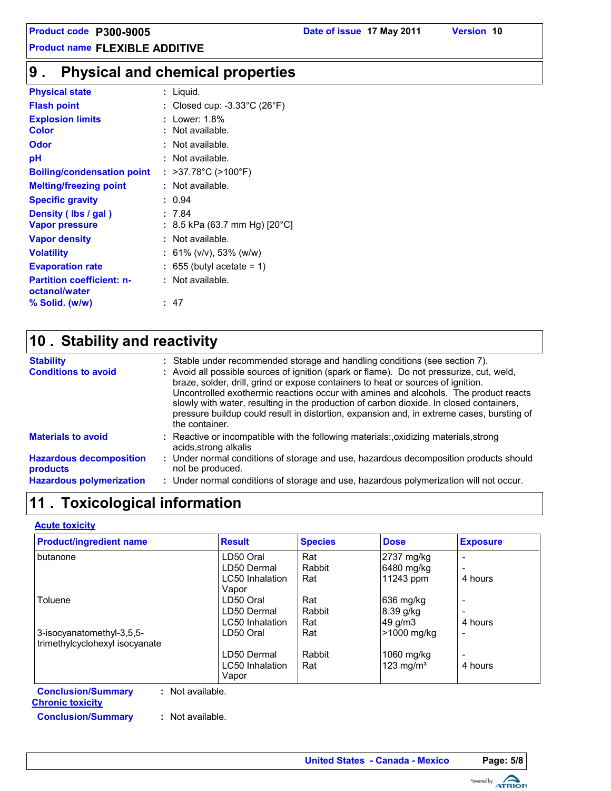#### **Physical and chemical properties 9 .**

| <b>Physical state</b>                             | Liquid.                                         |
|---------------------------------------------------|-------------------------------------------------|
| <b>Flash point</b>                                | Closed cup: $-3.33^{\circ}$ C (26 $^{\circ}$ F) |
| <b>Explosion limits</b>                           | Lower: 1.8%                                     |
| Color                                             | Not available.                                  |
| Odor                                              | Not available.                                  |
| рH                                                | Not available.                                  |
| <b>Boiling/condensation point</b>                 | : >37.78°C (>100°F)                             |
| <b>Melting/freezing point</b>                     | : Not available.                                |
| <b>Specific gravity</b>                           | 0.94                                            |
| Density (Ibs / gal)                               | : 7.84                                          |
| <b>Vapor pressure</b>                             | 8.5 kPa (63.7 mm Hg) [20 $^{\circ}$ C]          |
| <b>Vapor density</b>                              | Not available.                                  |
| <b>Volatility</b>                                 | : 61% (v/v), 53% (w/w)                          |
| <b>Evaporation rate</b>                           | 655 (butyl acetate = $1$ )                      |
| <b>Partition coefficient: n-</b><br>octanol/water | : Not available.                                |
| % Solid. (w/w)                                    | 47                                              |

## **Stability and reactivity 10 .**

| <b>Stability</b><br><b>Conditions to avoid</b> | : Stable under recommended storage and handling conditions (see section 7).<br>: Avoid all possible sources of ignition (spark or flame). Do not pressurize, cut, weld,<br>braze, solder, drill, grind or expose containers to heat or sources of ignition.<br>Uncontrolled exothermic reactions occur with amines and alcohols. The product reacts<br>slowly with water, resulting in the production of carbon dioxide. In closed containers,<br>pressure buildup could result in distortion, expansion and, in extreme cases, bursting of<br>the container. |
|------------------------------------------------|---------------------------------------------------------------------------------------------------------------------------------------------------------------------------------------------------------------------------------------------------------------------------------------------------------------------------------------------------------------------------------------------------------------------------------------------------------------------------------------------------------------------------------------------------------------|
| <b>Materials to avoid</b>                      | : Reactive or incompatible with the following materials:, oxidizing materials, strong<br>acids, strong alkalis                                                                                                                                                                                                                                                                                                                                                                                                                                                |
| <b>Hazardous decomposition</b><br>products     | : Under normal conditions of storage and use, hazardous decomposition products should<br>not be produced.                                                                                                                                                                                                                                                                                                                                                                                                                                                     |
| <b>Hazardous polymerization</b>                | : Under normal conditions of storage and use, hazardous polymerization will not occur.                                                                                                                                                                                                                                                                                                                                                                                                                                                                        |

## **11 . Toxicological information**

#### **Acute toxicity**

| <b>Product/ingredient name</b>                | <b>Result</b>   | <b>Species</b> | <b>Dose</b>  | <b>Exposure</b>          |  |  |  |  |
|-----------------------------------------------|-----------------|----------------|--------------|--------------------------|--|--|--|--|
| butanone                                      | LD50 Oral       | Rat            | 2737 mg/kg   |                          |  |  |  |  |
|                                               | LD50 Dermal     | Rabbit         | 6480 mg/kg   | $\overline{\phantom{0}}$ |  |  |  |  |
|                                               | LC50 Inhalation | Rat            | 11243 ppm    | 4 hours                  |  |  |  |  |
|                                               | Vapor           |                |              |                          |  |  |  |  |
| Toluene                                       | LD50 Oral       | Rat            | 636 mg/kg    | $\overline{\phantom{a}}$ |  |  |  |  |
|                                               | LD50 Dermal     | Rabbit         | $8.39$ g/kg  | $\overline{\phantom{0}}$ |  |  |  |  |
|                                               | LC50 Inhalation | Rat            | 49 g/m3      | 4 hours                  |  |  |  |  |
| 3-isocyanatomethyl-3,5,5-                     | LD50 Oral       | Rat            | >1000 mg/kg  | -                        |  |  |  |  |
| trimethylcyclohexyl isocyanate                |                 |                |              |                          |  |  |  |  |
|                                               | LD50 Dermal     | Rabbit         | 1060 mg/kg   | $\overline{\phantom{0}}$ |  |  |  |  |
|                                               | LC50 Inhalation | Rat            | 123 mg/ $m3$ | 4 hours                  |  |  |  |  |
|                                               | Vapor           |                |              |                          |  |  |  |  |
| <b>Conclusion/Summary</b><br>: Not available. |                 |                |              |                          |  |  |  |  |

**Chronic toxicity**

**Conclusion/Summary :** Not available.

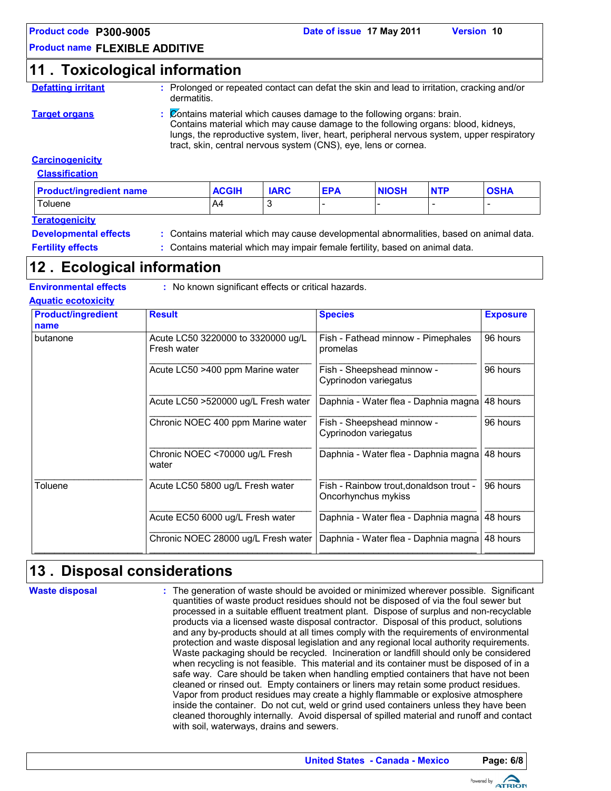## **11 . Toxicological information**

**Defatting irritant :** Prolonged or repeated contact can defat the skin and lead to irritation, cracking and/or dermatitis.

**Target organs :** Contains material which causes damage to the following organs: brain. Contains material which may cause damage to the following organs: blood, kidneys, lungs, the reproductive system, liver, heart, peripheral nervous system, upper respiratory tract, skin, central nervous system (CNS), eye, lens or cornea.

#### **Carcinogenicity**

| <b>Classification</b> |
|-----------------------|
|-----------------------|

| <b>Product/ingredient name</b> | <b>ACGIH</b> | <b>IARC</b> | <b>EPA</b> | <b>NIOSH</b> | <b>NTP</b> | <b>OSHA</b> |  |
|--------------------------------|--------------|-------------|------------|--------------|------------|-------------|--|
| Toluene                        | A4           |             |            |              |            | -           |  |
| <b>Teratogenicity</b>          |              |             |            |              |            |             |  |

**Developmental effects :** Contains material which may cause developmental abnormalities, based on animal data.

**Fertility effects** : Contains material which may impair female fertility, based on animal data.

## **Ecological information 12 .**

**Environmental effects :** No known significant effects or critical hazards.

#### **Aquatic ecotoxicity**

| <b>Product/ingredient</b><br>name | <b>Result</b>                                     | <b>Species</b>                                                 | <b>Exposure</b> |
|-----------------------------------|---------------------------------------------------|----------------------------------------------------------------|-----------------|
| butanone                          | Acute LC50 3220000 to 3320000 ug/L<br>Fresh water | Fish - Fathead minnow - Pimephales<br>promelas                 | 96 hours        |
|                                   | Acute LC50 >400 ppm Marine water                  | Fish - Sheepshead minnow -<br>Cyprinodon variegatus            | 96 hours        |
|                                   | Acute LC50 >520000 ug/L Fresh water               | Daphnia - Water flea - Daphnia magna                           | 48 hours        |
|                                   | Chronic NOEC 400 ppm Marine water                 | Fish - Sheepshead minnow -<br>Cyprinodon variegatus            | 96 hours        |
|                                   | Chronic NOEC <70000 ug/L Fresh<br>water           | Daphnia - Water flea - Daphnia magna 48 hours                  |                 |
| Toluene                           | Acute LC50 5800 ug/L Fresh water                  | Fish - Rainbow trout, donaldson trout -<br>Oncorhynchus mykiss | 96 hours        |
|                                   | Acute EC50 6000 ug/L Fresh water                  | Daphnia - Water flea - Daphnia magna 48 hours                  |                 |
|                                   | Chronic NOEC 28000 ug/L Fresh water               | Daphnia - Water flea - Daphnia magna 48 hours                  |                 |

## **Disposal considerations 13 .**

**Waste disposal**

The generation of waste should be avoided or minimized wherever possible. Significant **:** quantities of waste product residues should not be disposed of via the foul sewer but processed in a suitable effluent treatment plant. Dispose of surplus and non-recyclable products via a licensed waste disposal contractor. Disposal of this product, solutions and any by-products should at all times comply with the requirements of environmental protection and waste disposal legislation and any regional local authority requirements. Waste packaging should be recycled. Incineration or landfill should only be considered when recycling is not feasible. This material and its container must be disposed of in a safe way. Care should be taken when handling emptied containers that have not been cleaned or rinsed out. Empty containers or liners may retain some product residues. Vapor from product residues may create a highly flammable or explosive atmosphere inside the container. Do not cut, weld or grind used containers unless they have been cleaned thoroughly internally. Avoid dispersal of spilled material and runoff and contact with soil, waterways, drains and sewers.

**United States - Canada - Mexico Page: 6/8**

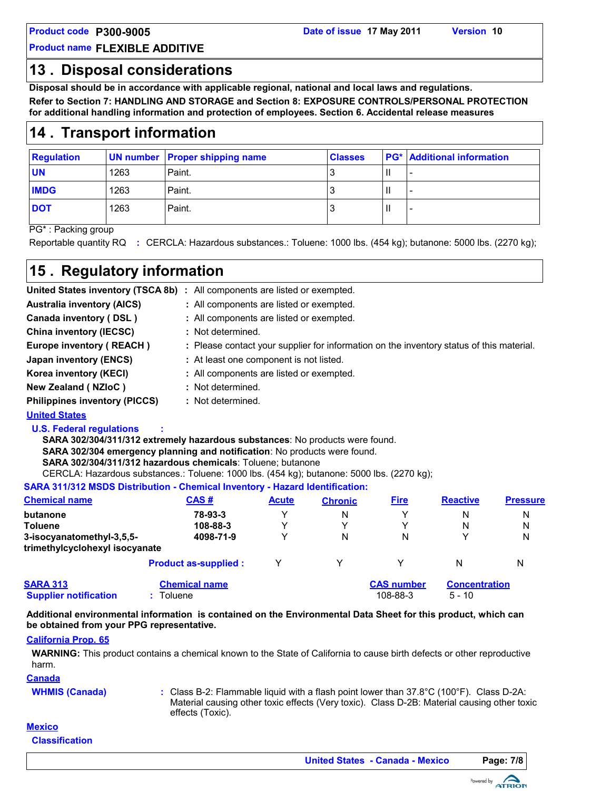## **13 . Disposal considerations**

**Disposal should be in accordance with applicable regional, national and local laws and regulations.**

**Refer to Section 7: HANDLING AND STORAGE and Section 8: EXPOSURE CONTROLS/PERSONAL PROTECTION for additional handling information and protection of employees. Section 6. Accidental release measures**

## **14 . Transport information**

| <b>Regulation</b> |      | <b>UN number Proper shipping name</b> | <b>Classes</b> | <b>PG*</b> Additional information |
|-------------------|------|---------------------------------------|----------------|-----------------------------------|
| <b>UN</b>         | 1263 | Paint.                                |                |                                   |
| <b>IMDG</b>       | 1263 | Paint.                                |                |                                   |
| <b>DOT</b>        | 1263 | Paint.                                |                |                                   |

PG\* : Packing group

Reportable quantity RQ **:** CERCLA: Hazardous substances.: Toluene: 1000 lbs. (454 kg); butanone: 5000 lbs. (2270 kg);

## **15 . Regulatory information**

|                                      | United States inventory (TSCA 8b) : All components are listed or exempted.               |
|--------------------------------------|------------------------------------------------------------------------------------------|
| <b>Australia inventory (AICS)</b>    | : All components are listed or exempted.                                                 |
| Canada inventory (DSL)               | : All components are listed or exempted.                                                 |
| <b>China inventory (IECSC)</b>       | : Not determined.                                                                        |
| Europe inventory (REACH)             | : Please contact your supplier for information on the inventory status of this material. |
| Japan inventory (ENCS)               | : At least one component is not listed.                                                  |
| Korea inventory (KECI)               | : All components are listed or exempted.                                                 |
| New Zealand (NZIoC)                  | : Not determined.                                                                        |
| <b>Philippines inventory (PICCS)</b> | : Not determined.                                                                        |
|                                      |                                                                                          |

#### **United States**

#### **U.S. Federal regulations :**

CERCLA: Hazardous substances.: Toluene: 1000 lbs. (454 kg); butanone: 5000 lbs. (2270 kg); **SARA 302/304/311/312 extremely hazardous substances**: No products were found. **SARA 302/304 emergency planning and notification**: No products were found. **SARA 302/304/311/312 hazardous chemicals**: Toluene; butanone

**SARA 311/312 MSDS Distribution - Chemical Inventory - Hazard Identification:**

| <b>Chemical name</b>                            | CAS#                            | <b>Acute</b> | <b>Chronic</b> | <b>Fire</b>                   | <b>Reactive</b>                  | <b>Pressure</b> |
|-------------------------------------------------|---------------------------------|--------------|----------------|-------------------------------|----------------------------------|-----------------|
| butanone                                        | 78-93-3                         | v            | N              | ◡                             | N                                | N               |
| <b>Toluene</b>                                  | 108-88-3                        | v            | v              | v                             | N                                | N               |
| 3-isocyanatomethyl-3,5,5-                       | 4098-71-9                       | v            | N              | N                             |                                  | Ν               |
| trimethylcyclohexyl isocyanate                  |                                 |              |                |                               |                                  |                 |
|                                                 | <b>Product as-supplied:</b>     | ▽            | ٧              | ◡                             | N                                | Ν               |
| <b>SARA 313</b><br><b>Supplier notification</b> | <b>Chemical name</b><br>Toluene |              |                | <b>CAS number</b><br>108-88-3 | <b>Concentration</b><br>$5 - 10$ |                 |

**Additional environmental information is contained on the Environmental Data Sheet for this product, which can be obtained from your PPG representative.**

#### **California Prop. 65**

**WARNING:** This product contains a chemical known to the State of California to cause birth defects or other reproductive harm.

**Canada**

**WHMIS (Canada)** Class B-2: Flammable liquid with a flash point lower than 37.8°C (100°F). Class D-2A: **:** Material causing other toxic effects (Very toxic). Class D-2B: Material causing other toxic effects (Toxic).

### **Mexico**

**Classification**